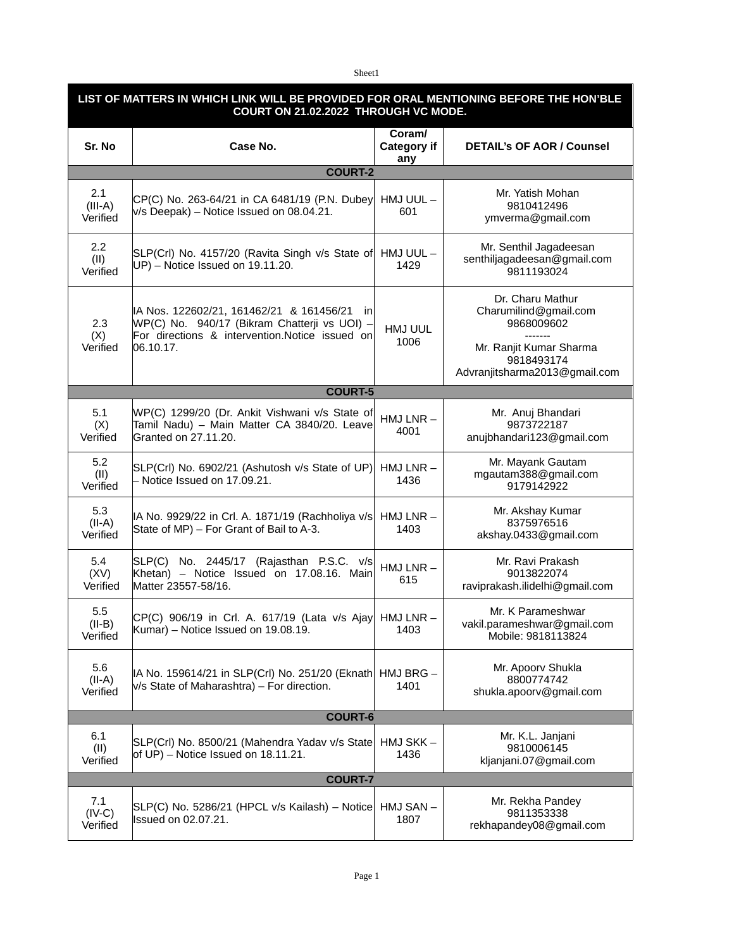Sheet1

| LIST OF MATTERS IN WHICH LINK WILL BE PROVIDED FOR ORAL MENTIONING BEFORE THE HON'BLE<br>COURT ON 21.02.2022 THROUGH VC MODE. |                                                                                                                                                            |                              |                                                                                                                                              |  |
|-------------------------------------------------------------------------------------------------------------------------------|------------------------------------------------------------------------------------------------------------------------------------------------------------|------------------------------|----------------------------------------------------------------------------------------------------------------------------------------------|--|
| Sr. No                                                                                                                        | Case No.                                                                                                                                                   | Coram/<br>Category if<br>any | <b>DETAIL's OF AOR / Counsel</b>                                                                                                             |  |
|                                                                                                                               | <b>COURT-2</b>                                                                                                                                             |                              |                                                                                                                                              |  |
| 2.1<br>$(III-A)$<br>Verified                                                                                                  | CP(C) No. 263-64/21 in CA 6481/19 (P.N. Dubey<br>$v/s$ Deepak) – Notice Issued on 08.04.21.                                                                | HMJ UUL-<br>601              | Mr. Yatish Mohan<br>9810412496<br>ymverma@gmail.com                                                                                          |  |
| $2.2\phantom{0}$<br>(II)<br>Verified                                                                                          | SLP(Crl) No. 4157/20 (Ravita Singh v/s State of<br>UP) - Notice Issued on 19.11.20.                                                                        | HMJ UUL-<br>1429             | Mr. Senthil Jagadeesan<br>senthiljagadeesan@gmail.com<br>9811193024                                                                          |  |
| 2.3<br>(X)<br>Verified                                                                                                        | IA Nos. 122602/21, 161462/21 & 161456/21 in<br>WP(C) No. 940/17 (Bikram Chatterji vs UOI) -<br>For directions & intervention.Notice issued on<br>06.10.17. | HMJ UUL<br>1006              | Dr. Charu Mathur<br>Charumilind@gmail.com<br>9868009602<br>-------<br>Mr. Ranjit Kumar Sharma<br>9818493174<br>Advranjitsharma2013@gmail.com |  |
|                                                                                                                               | <b>COURT-5</b>                                                                                                                                             |                              |                                                                                                                                              |  |
| 5.1<br>(X)<br>Verified                                                                                                        | WP(C) 1299/20 (Dr. Ankit Vishwani v/s State of<br>Tamil Nadu) - Main Matter CA 3840/20. Leave<br>Granted on 27.11.20.                                      | HMJ LNR-<br>4001             | Mr. Anuj Bhandari<br>9873722187<br>anujbhandari123@gmail.com                                                                                 |  |
| 5.2<br>(II)<br>Verified                                                                                                       | SLP(Crl) No. 6902/21 (Ashutosh v/s State of UP)<br>- Notice Issued on 17.09.21.                                                                            | $HMJ LNR -$<br>1436          | Mr. Mayank Gautam<br>mgautam388@gmail.com<br>9179142922                                                                                      |  |
| 5.3<br>$(II-A)$<br>Verified                                                                                                   | IA No. 9929/22 in Crl. A. 1871/19 (Rachholiya v/s<br>State of MP) - For Grant of Bail to A-3.                                                              | HMJ LNR-<br>1403             | Mr. Akshay Kumar<br>8375976516<br>akshay.0433@gmail.com                                                                                      |  |
| 5.4<br>(XV)<br>Verified                                                                                                       | SLP(C) No. 2445/17 (Rajasthan P.S.C. v/s<br>Khetan) – Notice Issued on 17.08.16. Main<br>Matter 23557-58/16.                                               | $HMJ LNR -$<br>615           | Mr. Ravi Prakash<br>9013822074<br>raviprakash.ilidelhi@gmail.com                                                                             |  |
| 5.5<br>$(II-B)$<br>Verified                                                                                                   | $CP(C)$ 906/19 in Crl. A. 617/19 (Lata v/s Ajay HMJ LNR -<br>Kumar) – Notice Issued on 19.08.19.                                                           | 1403                         | Mr. K Parameshwar<br>vakil.parameshwar@gmail.com<br>Mobile: 9818113824                                                                       |  |
| 5.6<br>$(II-A)$<br>Verified                                                                                                   | IA No. 159614/21 in SLP(Crl) No. 251/20 (Eknath<br>v/s State of Maharashtra) - For direction.                                                              | HMJ BRG-<br>1401             | Mr. Apoorv Shukla<br>8800774742<br>shukla.apoorv@gmail.com                                                                                   |  |
| <b>COURT-6</b>                                                                                                                |                                                                                                                                                            |                              |                                                                                                                                              |  |
| 6.1<br>(II)<br>Verified                                                                                                       | SLP(Crl) No. 8500/21 (Mahendra Yadav v/s State<br>of UP) – Notice Issued on $18.11.21$ .                                                                   | HMJ SKK-<br>1436             | Mr. K.L. Janjani<br>9810006145<br>kljanjani.07@gmail.com                                                                                     |  |
| <b>COURT-7</b>                                                                                                                |                                                                                                                                                            |                              |                                                                                                                                              |  |
| 7.1<br>$(IV-C)$<br>Verified                                                                                                   | SLP(C) No. 5286/21 (HPCL v/s Kailash) - Notice<br>Issued on 02.07.21.                                                                                      | HMJ SAN-<br>1807             | Mr. Rekha Pandey<br>9811353338<br>rekhapandey08@gmail.com                                                                                    |  |